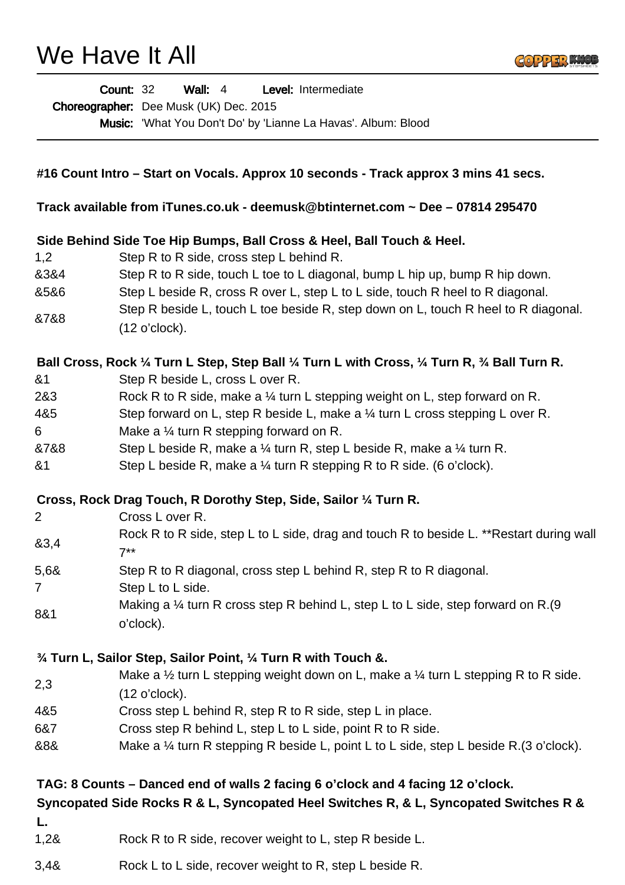## We Have It All



|                                                                                       | <b>Count: 32</b><br>Wall: $4$<br>Level: Intermediate                                                     |
|---------------------------------------------------------------------------------------|----------------------------------------------------------------------------------------------------------|
|                                                                                       | Choreographer: Dee Musk (UK) Dec. 2015                                                                   |
|                                                                                       | Music: 'What You Don't Do' by 'Lianne La Havas'. Album: Blood                                            |
|                                                                                       |                                                                                                          |
|                                                                                       |                                                                                                          |
|                                                                                       | #16 Count Intro – Start on Vocals. Approx 10 seconds - Track approx 3 mins 41 secs.                      |
|                                                                                       | Track available from iTunes.co.uk - deemusk@btinternet.com ~ Dee - 07814 295470                          |
|                                                                                       |                                                                                                          |
|                                                                                       | Side Behind Side Toe Hip Bumps, Ball Cross & Heel, Ball Touch & Heel.                                    |
| 1,2                                                                                   | Step R to R side, cross step L behind R.                                                                 |
| 8384                                                                                  | Step R to R side, touch L toe to L diagonal, bump L hip up, bump R hip down.                             |
| 8586                                                                                  | Step L beside R, cross R over L, step L to L side, touch R heel to R diagonal.                           |
|                                                                                       | Step R beside L, touch L toe beside R, step down on L, touch R heel to R diagonal.                       |
| &7&8                                                                                  | (12 o'clock).                                                                                            |
|                                                                                       |                                                                                                          |
|                                                                                       | Ball Cross, Rock 1/4 Turn L Step, Step Ball 1/4 Turn L with Cross, 1/4 Turn R, 3/4 Ball Turn R.          |
| & <sub>1</sub>                                                                        | Step R beside L, cross L over R.                                                                         |
| 2&3                                                                                   | Rock R to R side, make a $\frac{1}{4}$ turn L stepping weight on L, step forward on R.                   |
| 4&5                                                                                   | Step forward on L, step R beside L, make a 1/4 turn L cross stepping L over R.                           |
| 6                                                                                     | Make a $\frac{1}{4}$ turn R stepping forward on R.                                                       |
| &7&8                                                                                  | Step L beside R, make a $\frac{1}{4}$ turn R, step L beside R, make a $\frac{1}{4}$ turn R.              |
| 8 <sub>1</sub>                                                                        | Step L beside R, make a $\frac{1}{4}$ turn R stepping R to R side. (6 o'clock).                          |
|                                                                                       |                                                                                                          |
|                                                                                       | Cross, Rock Drag Touch, R Dorothy Step, Side, Sailor 1/4 Turn R.                                         |
| $\overline{2}$                                                                        | Cross L over R.                                                                                          |
|                                                                                       | Rock R to R side, step L to L side, drag and touch R to beside L. ** Restart during wall                 |
| 83,4                                                                                  | $7^{**}$                                                                                                 |
| 5,68                                                                                  | Step R to R diagonal, cross step L behind R, step R to R diagonal.                                       |
| $\overline{7}$                                                                        | Step L to L side.                                                                                        |
|                                                                                       | Making a $\frac{1}{4}$ turn R cross step R behind L, step L to L side, step forward on R.(9              |
| 8&1                                                                                   | o'clock).                                                                                                |
|                                                                                       |                                                                                                          |
|                                                                                       | $\frac{3}{4}$ Turn L, Sailor Step, Sailor Point, $\frac{1}{4}$ Turn R with Touch &.                      |
|                                                                                       | Make a $\frac{1}{2}$ turn L stepping weight down on L, make a $\frac{1}{4}$ turn L stepping R to R side. |
| 2,3                                                                                   | (12 o'clock).                                                                                            |
| 4&5                                                                                   | Cross step L behind R, step R to R side, step L in place.                                                |
| 6&7                                                                                   | Cross step R behind L, step L to L side, point R to R side.                                              |
| &8&                                                                                   | Make a $\frac{1}{4}$ turn R stepping R beside L, point L to L side, step L beside R.(3 o'clock).         |
|                                                                                       |                                                                                                          |
|                                                                                       | TAG: 8 Counts – Danced end of walls 2 facing 6 o'clock and 4 facing 12 o'clock.                          |
| Syncopated Side Rocks R & L, Syncopated Heel Switches R, & L, Syncopated Switches R & |                                                                                                          |
|                                                                                       |                                                                                                          |
| L.<br>1,28                                                                            | Rock R to R side, recover weight to L, step R beside L.                                                  |
|                                                                                       |                                                                                                          |

3,4& Rock L to L side, recover weight to R, step L beside R.